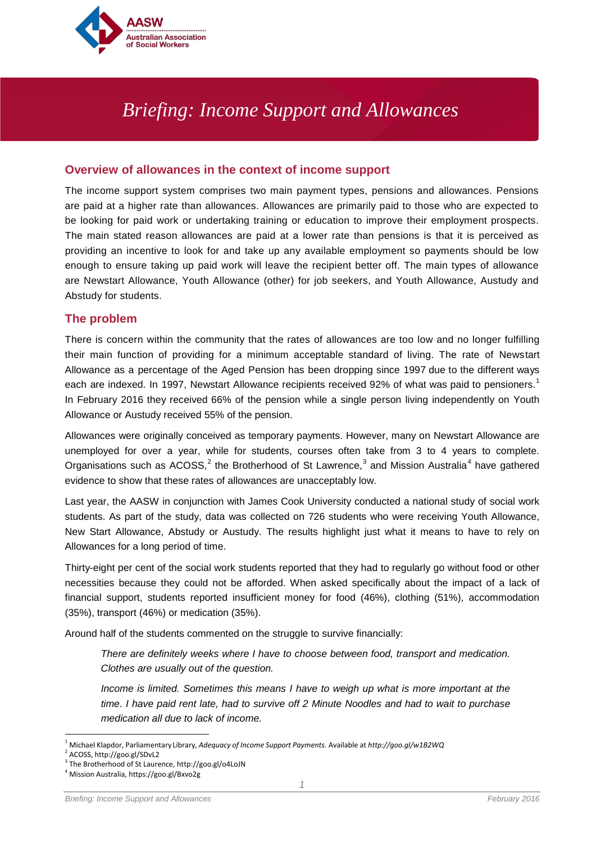

# *Briefing: Income Support and Allowances*

# **Overview of allowances in the context of income support**

The income support system comprises two main payment types, pensions and allowances. Pensions are paid at a higher rate than allowances. Allowances are primarily paid to those who are expected to be looking for paid work or undertaking training or education to improve their employment prospects. The main stated reason allowances are paid at a lower rate than pensions is that it is perceived as providing an incentive to look for and take up any available employment so payments should be low enough to ensure taking up paid work will leave the recipient better off. The main types of allowance are Newstart Allowance, Youth Allowance (other) for job seekers, and Youth Allowance, Austudy and Abstudy for students.

# **The problem**

There is concern within the community that the rates of allowances are too low and no longer fulfilling their main function of providing for a minimum acceptable standard of living. The rate of Newstart Allowance as a percentage of the Aged Pension has been dropping since 1997 due to the different ways each are indexed. In [1](#page-0-0)997, Newstart Allowance recipients received 92% of what was paid to pensioners.<sup>1</sup> In February 2016 they received 66% of the pension while a single person living independently on Youth Allowance or Austudy received 55% of the pension.

Allowances were originally conceived as temporary payments. However, many on Newstart Allowance are unemployed for over a year, while for students, courses often take from 3 to 4 years to complete. Organisations such as  $ACOSS$ ,<sup>[2](#page-0-1)</sup> the Brotherhood of St Lawrence,<sup>[3](#page-0-2)</sup> and Mission Australia<sup>[4](#page-0-3)</sup> have gathered evidence to show that these rates of allowances are unacceptably low.

Last year, the AASW in conjunction with James Cook University conducted a national study of social work students. As part of the study, data was collected on 726 students who were receiving Youth Allowance, New Start Allowance, Abstudy or Austudy. The results highlight just what it means to have to rely on Allowances for a long period of time.

Thirty-eight per cent of the social work students reported that they had to regularly go without food or other necessities because they could not be afforded. When asked specifically about the impact of a lack of financial support, students reported insufficient money for food (46%), clothing (51%), accommodation (35%), transport (46%) or medication (35%).

Around half of the students commented on the struggle to survive financially:

*There are definitely weeks where I have to choose between food, transport and medication. Clothes are usually out of the question.*

*Income is limited. Sometimes this means I have to weigh up what is more important at the time. I have paid rent late, had to survive off 2 Minute Noodles and had to wait to purchase medication all due to lack of income.*

<span id="page-0-0"></span> <sup>1</sup> Michael Klapdor, Parliamentary Library, *Adequacy of Income Support Payments.* Available at *http://goo.gl/w1B2WQ* 

<span id="page-0-2"></span><span id="page-0-1"></span><sup>&</sup>lt;sup>2</sup> ACOSS, http://goo.gl/SDvL2<br><sup>3</sup> The Brotherhood of St Laurence, http://goo.gl/o4LoJN<br><sup>4</sup> Mission Australia, https://goo.gl/Bxvo2g

<span id="page-0-3"></span>